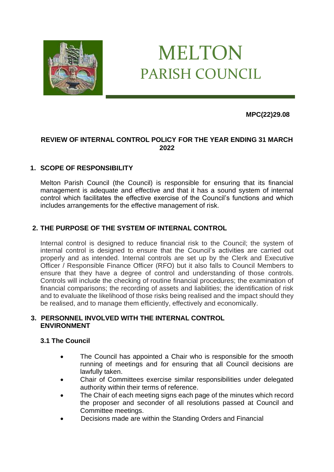

# MELTON PARISH COUNCIL

## **MPC(22)29.08**

## **REVIEW OF INTERNAL CONTROL POLICY FOR THE YEAR ENDING 31 MARCH 2022**

# **1. SCOPE OF RESPONSIBILITY**

Melton Parish Council (the Council) is responsible for ensuring that its financial management is adequate and effective and that it has a sound system of internal control which facilitates the effective exercise of the Council's functions and which includes arrangements for the effective management of risk.

# **2. THE PURPOSE OF THE SYSTEM OF INTERNAL CONTROL**

Internal control is designed to reduce financial risk to the Council; the system of internal control is designed to ensure that the Council's activities are carried out properly and as intended. Internal controls are set up by the Clerk and Executive Officer / Responsible Finance Officer (RFO) but it also falls to Council Members to ensure that they have a degree of control and understanding of those controls. Controls will include the checking of routine financial procedures; the examination of financial comparisons; the recording of assets and liabilities; the identification of risk and to evaluate the likelihood of those risks being realised and the impact should they be realised, and to manage them efficiently, effectively and economically.

#### **3. PERSONNEL INVOLVED WITH THE INTERNAL CONTROL ENVIRONMENT**

#### **3.1 The Council**

- The Council has appointed a Chair who is responsible for the smooth running of meetings and for ensuring that all Council decisions are lawfully taken.
- Chair of Committees exercise similar responsibilities under delegated authority within their terms of reference.
- The Chair of each meeting signs each page of the minutes which record the proposer and seconder of all resolutions passed at Council and Committee meetings.
- Decisions made are within the Standing Orders and Financial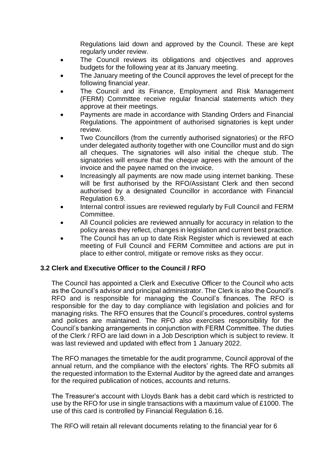Regulations laid down and approved by the Council. These are kept regularly under review.

- The Council reviews its obligations and objectives and approves budgets for the following year at its January meeting.
- The January meeting of the Council approves the level of precept for the following financial year.
- The Council and its Finance, Employment and Risk Management (FERM) Committee receive regular financial statements which they approve at their meetings.
- Payments are made in accordance with Standing Orders and Financial Regulations. The appointment of authorised signatories is kept under review.
- Two Councillors (from the currently authorised signatories) or the RFO under delegated authority together with one Councillor must and do sign all cheques. The signatories will also initial the cheque stub. The signatories will ensure that the cheque agrees with the amount of the invoice and the payee named on the invoice.
- Increasingly all payments are now made using internet banking. These will be first authorised by the RFO/Assistant Clerk and then second authorised by a designated Councillor in accordance with Financial Regulation 6.9.
- Internal control issues are reviewed regularly by Full Council and FERM **Committee.**
- All Council policies are reviewed annually for accuracy in relation to the policy areas they reflect, changes in legislation and current best practice.
- The Council has an up to date Risk Register which is reviewed at each meeting of Full Council and FERM Committee and actions are put in place to either control, mitigate or remove risks as they occur.

## **3.2 Clerk and Executive Officer to the Council / RFO**

The Council has appointed a Clerk and Executive Officer to the Council who acts as the Council's advisor and principal administrator. The Clerk is also the Council's RFO and is responsible for managing the Council's finances. The RFO is responsible for the day to day compliance with legislation and policies and for managing risks. The RFO ensures that the Council's procedures, control systems and polices are maintained. The RFO also exercises responsibility for the Council's banking arrangements in conjunction with FERM Committee. The duties of the Clerk / RFO are laid down in a Job Description which is subject to review. It was last reviewed and updated with effect from 1 January 2022.

The RFO manages the timetable for the audit programme, Council approval of the annual return, and the compliance with the electors' rights. The RFO submits all the requested information to the External Auditor by the agreed date and arranges for the required publication of notices, accounts and returns.

The Treasurer's account with Lloyds Bank has a debit card which is restricted to use by the RFO for use in single transactions with a maximum value of £1000. The use of this card is controlled by Financial Regulation 6.16.

The RFO will retain all relevant documents relating to the financial year for 6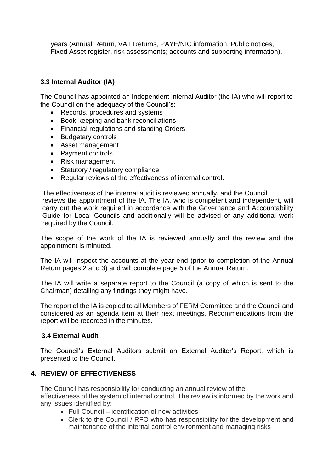years (Annual Return, VAT Returns, PAYE/NIC information, Public notices, Fixed Asset register, risk assessments; accounts and supporting information).

## **3.3 Internal Auditor (IA)**

The Council has appointed an Independent Internal Auditor (the IA) who will report to the Council on the adequacy of the Council's:

- Records, procedures and systems
- Book-keeping and bank reconciliations
- Financial regulations and standing Orders
- Budgetary controls
- Asset management
- Payment controls
- Risk management
- Statutory / regulatory compliance
- Regular reviews of the effectiveness of internal control.

The effectiveness of the internal audit is reviewed annually, and the Council reviews the appointment of the IA. The IA, who is competent and independent, will carry out the work required in accordance with the Governance and Accountability Guide for Local Councils and additionally will be advised of any additional work required by the Council.

The scope of the work of the IA is reviewed annually and the review and the appointment is minuted.

The IA will inspect the accounts at the year end (prior to completion of the Annual Return pages 2 and 3) and will complete page 5 of the Annual Return.

The IA will write a separate report to the Council (a copy of which is sent to the Chairman) detailing any findings they might have.

The report of the IA is copied to all Members of FERM Committee and the Council and considered as an agenda item at their next meetings. Recommendations from the report will be recorded in the minutes.

## **3.4 External Audit**

The Council's External Auditors submit an External Auditor's Report, which is presented to the Council.

#### **4. REVIEW OF EFFECTIVENESS**

The Council has responsibility for conducting an annual review of the effectiveness of the system of internal control. The review is informed by the work and any issues identified by:

- Full Council identification of new activities
- ⚫ Clerk to the Council / RFO who has responsibility for the development and maintenance of the internal control environment and managing risks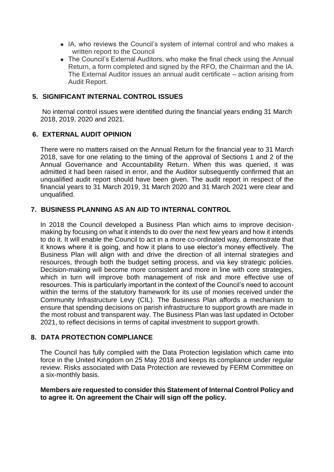- ⚫ IA, who reviews the Council's system of internal control and who makes a written report to the Council
- The Council's External Auditors, who make the final check using the Annual Return, a form completed and signed by the RFO, the Chairman and the IA. The External Auditor issues an annual audit certificate – action arising from Audit Report.

### **5. SIGNIFICANT INTERNAL CONTROL ISSUES**

No internal control issues were identified during the financial years ending 31 March 2018, 2019, 2020 and 2021.

#### **6. EXTERNAL AUDIT OPINION**

There were no matters raised on the Annual Return for the financial year to 31 March 2018, save for one relating to the timing of the approval of Sections 1 and 2 of the Annual Governance and Accountability Return. When this was queried, it was admitted it had been raised in error, and the Auditor subsequently confirmed that an unqualified audit report should have been given. The audit report in respect of the financial years to 31 March 2019, 31 March 2020 and 31 March 2021 were clear and unqualified.

## **7. BUSINESS PLANNING AS AN AID TO INTERNAL CONTROL**

In 2018 the Council developed a Business Plan which aims to improve decisionmaking by focusing on what it intends to do over the next few years and how it intends to do it. It will enable the Council to act in a more co-ordinated way, demonstrate that it knows where it is going, and how it plans to use elector's money effectively. The Business Plan will align with and drive the direction of all internal strategies and resources, through both the budget setting process, and via key strategic policies. Decision-making will become more consistent and more in line with core strategies, which in turn will improve both management of risk and more effective use of resources. This is particularly important in the context of the Council's need to account within the terms of the statutory framework for its use of monies received under the Community Infrastructure Levy (CIL). The Business Plan affords a mechanism to ensure that spending decisions on parish infrastructure to support growth are made in the most robust and transparent way. The Business Plan was last updated in October 2021, to reflect decisions in terms of capital investment to support growth.

#### **8. DATA PROTECTION COMPLIANCE**

The Council has fully complied with the Data Protection legislation which came into force in the United Kingdom on 25 May 2018 and keeps its compliance under regular review. Risks associated with Data Protection are reviewed by FERM Committee on a six-monthly basis.

**Members are requested to consider this Statement of Internal Control Policy and to agree it. On agreement the Chair will sign off the policy.**